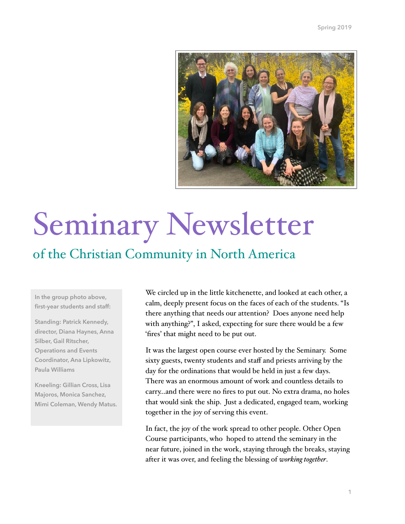

# Seminary Newsletter

### of the Christian Community in North America

**In the group photo above, first-year students and staff:** 

**Standing: Patrick Kennedy, director, Diana Haynes, Anna Silber, Gail Ritscher, Operations and Events Coordinator, Ana Lipkowitz, Paula Williams** 

**Kneeling: Gillian Cross, Lisa Majoros, Monica Sanchez, Mimi Coleman, Wendy Matus.**

We circled up in the little kitchenette, and looked at each other, a calm, deeply present focus on the faces of each of the students. "Is there anything that needs our attention? Does anyone need help with anything?", I asked, expecting for sure there would be a few 'fires' that might need to be put out.

It was the largest open course ever hosted by the Seminary. Some sixty guests, twenty students and staff and priests arriving by the day for the ordinations that would be held in just a few days. There was an enormous amount of work and countless details to carry...and there were no fires to put out. No extra drama, no holes that would sink the ship. Just a dedicated, engaged team, working together in the joy of serving this event.

In fact, the joy of the work spread to other people. Other Open Course participants, who hoped to attend the seminary in the near future, joined in the work, staying through the breaks, staying after it was over, and feeling the blessing of *working together*.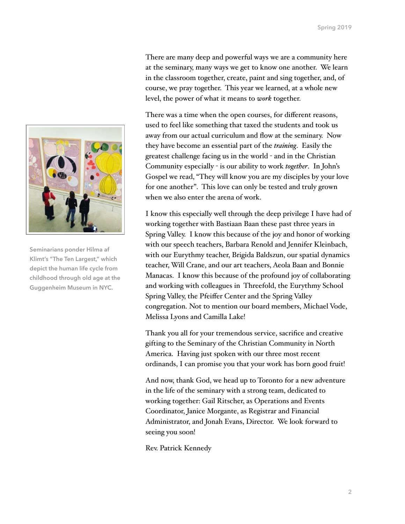There are many deep and powerful ways we are a community here at the seminary, many ways we get to know one another. We learn in the classroom together, create, paint and sing together, and, of course, we pray together. This year we learned, at a whole new level, the power of what it means to *work* together.

There was a time when the open courses, for different reasons, used to feel like something that taxed the students and took us away from our actual curriculum and flow at the seminary. Now they have become an essential part of the *training*. Easily the greatest challenge facing us in the world - and in the Christian Community especially - is our ability to work *together*. In John's Gospel we read, "They will know you are my disciples by your love for one another". This love can only be tested and truly grown when we also enter the arena of work.

I know this especially well through the deep privilege I have had of working together with Bastiaan Baan these past three years in Spring Valley. I know this because of the joy and honor of working with our speech teachers, Barbara Renold and Jennifer Kleinbach, with our Eurythmy teacher, Brigida Baldszun, our spatial dynamics teacher, Will Crane, and our art teachers, Aeola Baan and Bonnie Manacas. I know this because of the profound joy of collaborating and working with colleagues in Threefold, the Eurythmy School Spring Valley, the Pfeiffer Center and the Spring Valley congregation. Not to mention our board members, Michael Vode, Melissa Lyons and Camilla Lake!

Thank you all for your tremendous service, sacrifice and creative gifting to the Seminary of the Christian Community in North America. Having just spoken with our three most recent ordinands, I can promise you that your work has born good fruit!

And now, thank God, we head up to Toronto for a new adventure in the life of the seminary with a strong team, dedicated to working together: Gail Ritscher, as Operations and Events Coordinator, Janice Morgante, as Registrar and Financial Administrator, and Jonah Evans, Director. We look forward to seeing you soon!

Rev. Patrick Kennedy



**Seminarians ponder Hilma af Klimt's "The Ten Largest," which depict the human life cycle from childhood through old age at the Guggenheim Museum in NYC.**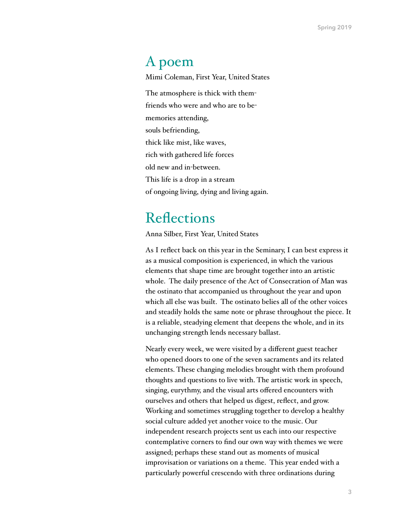#### A poem

Mimi Coleman, First Year, United States

The atmosphere is thick with themfriends who were and who are to bememories attending, souls befriending, thick like mist, like waves, rich with gathered life forces old new and in-between. This life is a drop in a stream of ongoing living, dying and living again.

### **Reflections**

Anna Silber, First Year, United States

As I reflect back on this year in the Seminary, I can best express it as a musical composition is experienced, in which the various elements that shape time are brought together into an artistic whole. The daily presence of the Act of Consecration of Man was the ostinato that accompanied us throughout the year and upon which all else was built. The ostinato belies all of the other voices and steadily holds the same note or phrase throughout the piece. It is a reliable, steadying element that deepens the whole, and in its unchanging strength lends necessary ballast.

Nearly every week, we were visited by a different guest teacher who opened doors to one of the seven sacraments and its related elements. These changing melodies brought with them profound thoughts and questions to live with. The artistic work in speech, singing, eurythmy, and the visual arts offered encounters with ourselves and others that helped us digest, reflect, and grow. Working and sometimes struggling together to develop a healthy social culture added yet another voice to the music. Our independent research projects sent us each into our respective contemplative corners to find our own way with themes we were assigned; perhaps these stand out as moments of musical improvisation or variations on a theme. This year ended with a particularly powerful crescendo with three ordinations during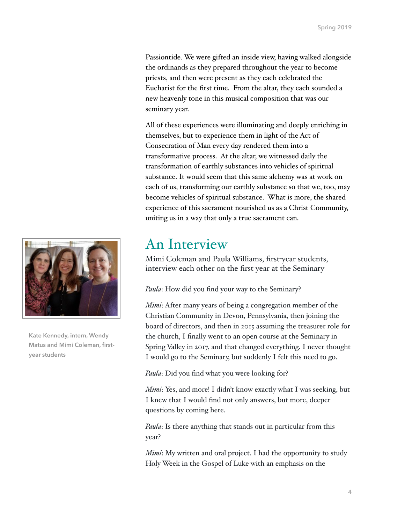Passiontide. We were gifted an inside view, having walked alongside the ordinands as they prepared throughout the year to become priests, and then were present as they each celebrated the Eucharist for the first time. From the altar, they each sounded a new heavenly tone in this musical composition that was our seminary year.

All of these experiences were illuminating and deeply enriching in themselves, but to experience them in light of the Act of Consecration of Man every day rendered them into a transformative process. At the altar, we witnessed daily the transformation of earthly substances into vehicles of spiritual substance. It would seem that this same alchemy was at work on each of us, transforming our earthly substance so that we, too, may become vehicles of spiritual substance. What is more, the shared experience of this sacrament nourished us as a Christ Community, uniting us in a way that only a true sacrament can.

### An Interview

Mimi Coleman and Paula Williams, first-year students, interview each other on the first year at the Seminary

*Paula*: How did you find your way to the Seminary?

*Mimi*: After many years of being a congregation member of the Christian Community in Devon, Pennsylvania, then joining the board of directors, and then in 2015 assuming the treasurer role for the church, I finally went to an open course at the Seminary in Spring Valley in 2017, and that changed everything. I never thought I would go to the Seminary, but suddenly I felt this need to go.

*Paula*: Did you find what you were looking for?

*Mimi*: Yes, and more! I didn't know exactly what I was seeking, but I knew that I would find not only answers, but more, deeper questions by coming here.

*Paula*: Is there anything that stands out in particular from this year?

*Mimi*: My written and oral project. I had the opportunity to study Holy Week in the Gospel of Luke with an emphasis on the



**Kate Kennedy, intern, Wendy Matus and Mimi Coleman, firstyear students**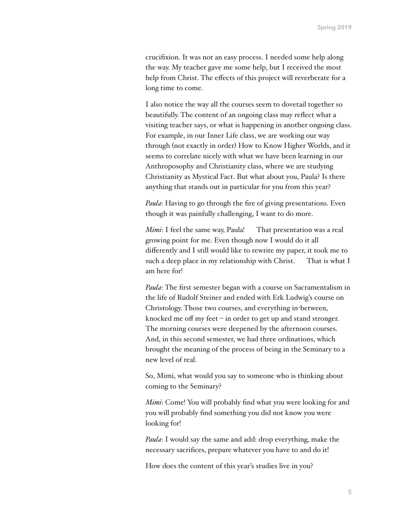crucifixion. It was not an easy process. I needed some help along the way. My teacher gave me some help, but I received the most help from Christ. The effects of this project will reverberate for a long time to come.

I also notice the way all the courses seem to dovetail together so beautifully. The content of an ongoing class may reflect what a visiting teacher says, or what is happening in another ongoing class. For example, in our Inner Life class, we are working our way through (not exactly in order) How to Know Higher Worlds, and it seems to correlate nicely with what we have been learning in our Anthroposophy and Christianity class, where we are studying Christianity as Mystical Fact. But what about you, Paula? Is there anything that stands out in particular for you from this year?

*Paula*: Having to go through the fire of giving presentations. Even though it was painfully challenging, I want to do more.

*Mimi*: I feel the same way, Paula! That presentation was a real growing point for me. Even though now I would do it all differently and I still would like to rewrite my paper, it took me to such a deep place in my relationship with Christ. That is what I am here for!

*Paula*: The first semester began with a course on Sacramentalism in the life of Rudolf Steiner and ended with Erk Ludwig's course on Christology. Those two courses, and everything in-between, knocked me off my feet – in order to get up and stand stronger. The morning courses were deepened by the afternoon courses. And, in this second semester, we had three ordinations, which brought the meaning of the process of being in the Seminary to a new level of real.

So, Mimi, what would you say to someone who is thinking about coming to the Seminary?

*Mimi*: Come! You will probably find what you were looking for and you will probably find something you did not know you were looking for!

*Paula*: I would say the same and add: drop everything, make the necessary sacrifices, prepare whatever you have to and do it!

How does the content of this year's studies live in you?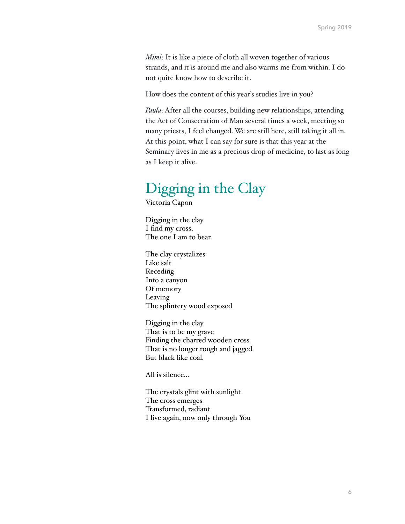*Mimi*: It is like a piece of cloth all woven together of various strands, and it is around me and also warms me from within. I do not quite know how to describe it.

How does the content of this year's studies live in you?

*Paula*: After all the courses, building new relationships, attending the Act of Consecration of Man several times a week, meeting so many priests, I feel changed. We are still here, still taking it all in. At this point, what I can say for sure is that this year at the Seminary lives in me as a precious drop of medicine, to last as long as I keep it alive.

#### Digging in the Clay

Victoria Capon

Digging in the clay I find my cross, The one I am to bear.

The clay crystalizes Like salt Receding Into a canyon Of memory Leaving The splintery wood exposed

Digging in the clay That is to be my grave Finding the charred wooden cross That is no longer rough and jagged But black like coal.

All is silence...

The crystals glint with sunlight The cross emerges Transformed, radiant I live again, now only through You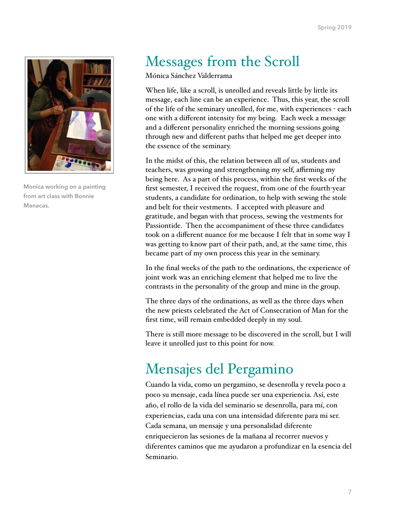

**Monica working on a painting from art class with Bonnie Manacas.**

# Messages from the Scroll

Mónica Sánchez Valderrama

When life, like a scroll, is unrolled and reveals little by little its message, each line can be an experience. Thus, this year, the scroll of the life of the seminary unrolled, for me, with experiences - each one with a different intensity for my being. Each week a message and a different personality enriched the morning sessions going through new and different paths that helped me get deeper into the essence of the seminary.

In the midst of this, the relation between all of us, students and teachers, was growing and strengthening my self, affirming my being here. As a part of this process, within the first weeks of the first semester, I received the request, from one of the fourth-year students, a candidate for ordination, to help with sewing the stole and belt for their vestments. I accepted with pleasure and gratitude, and began with that process, sewing the vestments for Passiontide. Then the accompaniment of these three candidates took on a different nuance for me because I felt that in some way I was getting to know part of their path, and, at the same time, this became part of my own process this year in the seminary.

In the final weeks of the path to the ordinations, the experience of joint work was an enriching element that helped me to live the contrasts in the personality of the group and mine in the group.

The three days of the ordinations, as well as the three days when the new priests celebrated the Act of Consecration of Man for the first time, will remain embedded deeply in my soul.

There is still more message to be discovered in the scroll, but I will leave it unrolled just to this point for now.

# Mensajes del Pergamino

Cuando la vida, como un pergamino, se desenrolla y revela poco a poco su mensaje, cada línea puede ser una experiencia. Así, este año, el rollo de la vida del seminario se desenrolla, para mí, con experiencias, cada una con una intensidad diferente para mi ser. Cada semana, un mensaje y una personalidad diferente enriquecieron las sesiones de la mañana al recorrer nuevos y diferentes caminos que me ayudaron a profundizar en la esencia del Seminario.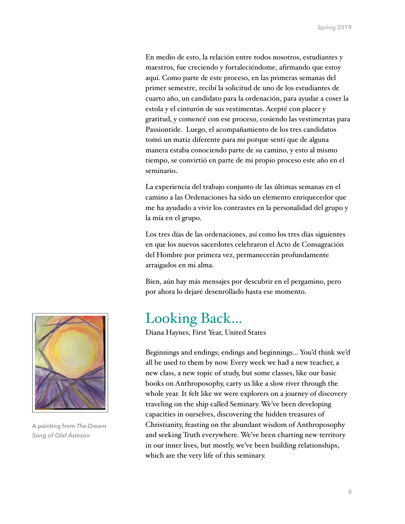En medio de esto, la relación entre todos nosotros, estudiantes y maestros, fue creciendo y fortaleciéndome, afirmando que estoy aquí. Como parte de este proceso, en las primeras semanas del primer semestre, recibí la solicitud de uno de los estudiantes de cuarto año, un candidato para la ordenación, para ayudar a coser la estola y el cinturón de sus vestimentas. Acepté con placer y gratitud, y comencé con ese proceso, cosiendo las vestimentas para Passiontide. Luego, el acompañamiento de los tres candidatos tomó un matiz diferente para mí porque sentí que de alguna manera estaba conociendo parte de su camino, y esto al mismo tiempo, se convirtió en parte de mi propio proceso este año en el seminario.

La experiencia del trabajo conjunto de las últimas semanas en el camino a las Ordenaciones ha sido un elemento enriquecedor que me ha ayudado a vivir los contrastes en la personalidad del grupo y la mía en el grupo.

Los tres días de las ordenaciones, así como los tres días siguientes en que los nuevos sacerdotes celebraron el Acto de Consagración del Hombre por primera vez, permanecerán profundamente arraigados en mi alma.

Bien, aún hay más mensajes por descubrir en el pergamino, pero por ahora lo dejaré desenrollado hasta ese momento.

#### Looking Back…

Diana Haynes, First Year, United States

Beginnings and endings; endings and beginnings... You'd think we'd all be used to them by now. Every week we had a new teacher, a new class, a new topic of study, but some classes, like our basic books on Anthroposophy, carry us like a slow river through the whole year. It felt like we were explorers on a journey of discovery traveling on the ship called Seminary. We've been developing capacities in ourselves, discovering the hidden treasures of Christianity, feasting on the abundant wisdom of Anthroposophy and seeking Truth everywhere. We've been charting new territory in our inner lives, but mostly, we've been building relationships, which are the very life of this seminary.



**A painting from** *The Dream Song of Olaf Åsteson*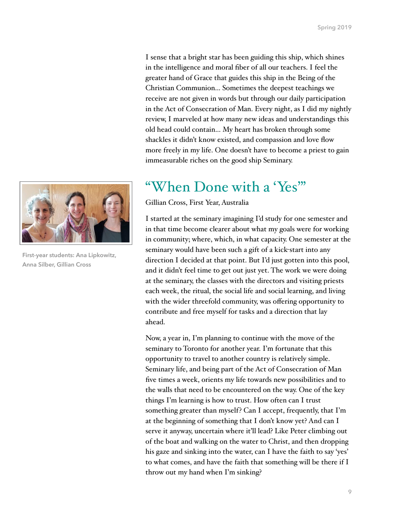I sense that a bright star has been guiding this ship, which shines in the intelligence and moral fiber of all our teachers. I feel the greater hand of Grace that guides this ship in the Being of the Christian Communion... Sometimes the deepest teachings we receive are not given in words but through our daily participation in the Act of Consecration of Man. Every night, as I did my nightly review, I marveled at how many new ideas and understandings this old head could contain… My heart has broken through some shackles it didn't know existed, and compassion and love flow more freely in my life. One doesn't have to become a priest to gain immeasurable riches on the good ship Seminary.

#### "When Done with a 'Yes'"

Gillian Cross, First Year, Australia

I started at the seminary imagining I'd study for one semester and in that time become clearer about what my goals were for working in community; where, which, in what capacity. One semester at the seminary would have been such a gift of a kick-start into any direction I decided at that point. But I'd just gotten into this pool, and it didn't feel time to get out just yet. The work we were doing at the seminary, the classes with the directors and visiting priests each week, the ritual, the social life and social learning, and living with the wider threefold community, was offering opportunity to contribute and free myself for tasks and a direction that lay ahead.

Now, a year in, I'm planning to continue with the move of the seminary to Toronto for another year. I'm fortunate that this opportunity to travel to another country is relatively simple. Seminary life, and being part of the Act of Consecration of Man five times a week, orients my life towards new possibilities and to the walls that need to be encountered on the way. One of the key things I'm learning is how to trust. How often can I trust something greater than myself? Can I accept, frequently, that I'm at the beginning of something that I don't know yet? And can I serve it anyway, uncertain where it'll lead? Like Peter climbing out of the boat and walking on the water to Christ, and then dropping his gaze and sinking into the water, can I have the faith to say 'yes' to what comes, and have the faith that something will be there if I throw out my hand when I'm sinking?



**First-year students: Ana Lipkowitz, Anna Silber, Gillian Cross**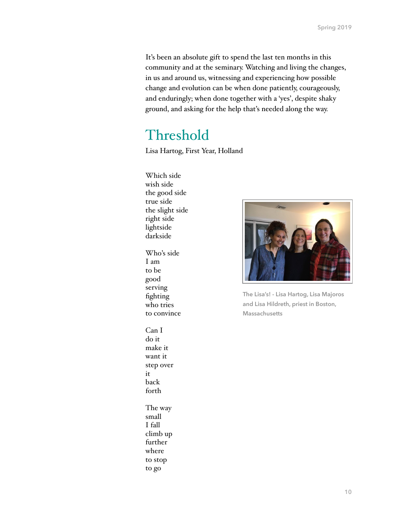It's been an absolute gift to spend the last ten months in this community and at the seminary. Watching and living the changes, in us and around us, witnessing and experiencing how possible change and evolution can be when done patiently, courageously, and enduringly; when done together with a 'yes', despite shaky ground, and asking for the help that's needed along the way.

### Threshold

Lisa Hartog, First Year, Holland

- Which side wish side the good side true side the slight side right side lightside darkside
- Who's side I am to be good serving fighting who tries to convince

Can I do it make it want it step over it back forth The way

small I fall climb up further where to stop to go



**The Lisa's! - Lisa Hartog, Lisa Majoros and Lisa Hildreth, priest in Boston, Massachusetts**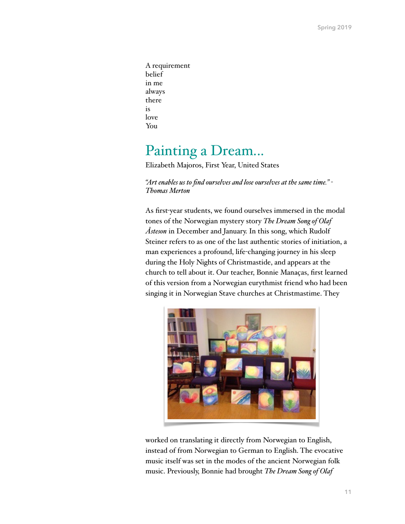A requirement belief in me always there is love You

### Painting a Dream...

Elizabeth Majoros, First Year, United States

*"Art enables us to find ourselves and lose ourselves at the same time." - Thomas Merton*

As first-year students, we found ourselves immersed in the modal tones of the Norwegian mystery story *The Dream Song of Olaf Åsteson* in December and January. In this song, which Rudolf Steiner refers to as one of the last authentic stories of initiation, a man experiences a profound, life-changing journey in his sleep during the Holy Nights of Christmastide, and appears at the church to tell about it. Our teacher, Bonnie Manaças, first learned of this version from a Norwegian eurythmist friend who had been singing it in Norwegian Stave churches at Christmastime. They



worked on translating it directly from Norwegian to English, instead of from Norwegian to German to English. The evocative music itself was set in the modes of the ancient Norwegian folk music. Previously, Bonnie had brought *The Dream Song of Olaf*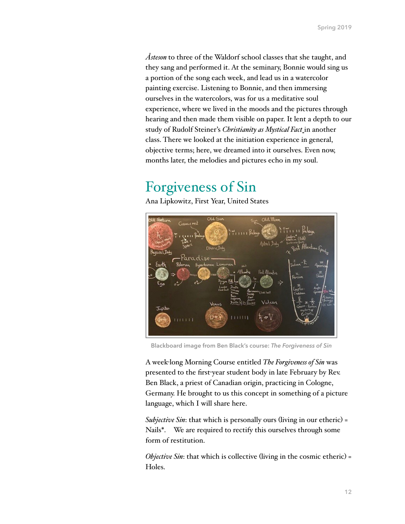*Åsteson* to three of the Waldorf school classes that she taught, and they sang and performed it. At the seminary, Bonnie would sing us a portion of the song each week, and lead us in a watercolor painting exercise. Listening to Bonnie, and then immersing ourselves in the watercolors, was for us a meditative soul experience, where we lived in the moods and the pictures through hearing and then made them visible on paper. It lent a depth to our study of Rudolf Steiner's *Christianity as Mystical Fact* in another class. There we looked at the initiation experience in general, objective terms; here, we dreamed into it ourselves. Even now, months later, the melodies and pictures echo in my soul.

### Forgiveness of Sin

Ana Lipkowitz, First Year, United States



**Blackboard image from Ben Black's course:** *The Forgiveness of Sin*

A week-long Morning Course entitled *The Forgiveness of Sin* was presented to the first-year student body in late February by Rev. Ben Black, a priest of Canadian origin, practicing in Cologne, Germany. He brought to us this concept in something of a picture language, which I will share here.

*Subjective Sin*: that which is personally ours (living in our etheric) = Nails\*. We are required to rectify this ourselves through some form of restitution.

*Objective Sin*: that which is collective (living in the cosmic etheric) = Holes.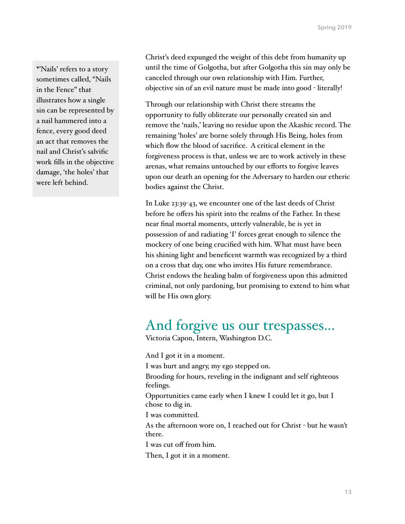\*'Nails' refers to a story sometimes called, "Nails in the Fence" that illustrates how a single sin can be represented by a nail hammered into a fence, every good deed an act that removes the nail and Christ's salvific work fills in the objective damage, 'the holes' that were left behind.

Christ's deed expunged the weight of this debt from humanity up until the time of Golgotha, but after Golgotha this sin may only be canceled through our own relationship with Him. Further, objective sin of an evil nature must be made into good - literally!

Through our relationship with Christ there streams the opportunity to fully obliterate our personally created sin and remove the 'nails,' leaving no residue upon the Akashic record. The remaining 'holes' are borne solely through His Being, holes from which flow the blood of sacrifice. A critical element in the forgiveness process is that, unless we are to work actively in these arenas, what remains untouched by our efforts to forgive leaves upon our death an opening for the Adversary to harden our etheric bodies against the Christ.

In Luke 23:39-43, we encounter one of the last deeds of Christ before he offers his spirit into the realms of the Father. In these near final mortal moments, utterly vulnerable, he is yet in possession of and radiating 'I' forces great enough to silence the mockery of one being crucified with him. What must have been his shining light and beneficent warmth was recognized by a third on a cross that day, one who invites His future remembrance. Christ endows the healing balm of forgiveness upon this admitted criminal, not only pardoning, but promising to extend to him what will be His own glory.

# And forgive us our trespasses...

Victoria Capon, Intern, Washington D.C.

And I got it in a moment. I was hurt and angry, my ego stepped on. Brooding for hours, reveling in the indignant and self righteous feelings. Opportunities came early when I knew I could let it go, but I chose to dig in. I was committed. As the afternoon wore on, I reached out for Christ - but he wasn't there.

I was cut off from him.

Then, I got it in a moment.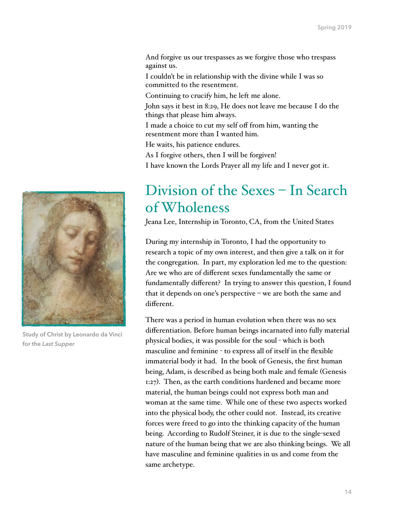And forgive us our trespasses as we forgive those who trespass against us.

I couldn't be in relationship with the divine while I was so committed to the resentment.

Continuing to crucify him, he left me alone.

John says it best in 8:29, He does not leave me because I do the things that please him always.

I made a choice to cut my self off from him, wanting the resentment more than I wanted him.

He waits, his patience endures.

As I forgive others, then I will be forgiven!

I have known the Lords Prayer all my life and I never got it.

### Division of the Sexes – In Search of Wholeness

Jeana Lee, Internship in Toronto, CA, from the United States

During my internship in Toronto, I had the opportunity to research a topic of my own interest, and then give a talk on it for the congregation. In part, my exploration led me to the question: Are we who are of different sexes fundamentally the same or fundamentally different? In trying to answer this question, I found that it depends on one's perspective – we are both the same and different.

There was a period in human evolution when there was no sex differentiation. Before human beings incarnated into fully material physical bodies, it was possible for the soul - which is both masculine and feminine - to express all of itself in the flexible immaterial body it had. In the book of Genesis, the first human being, Adam, is described as being both male and female (Genesis 1:27). Then, as the earth conditions hardened and became more material, the human beings could not express both man and woman at the same time. While one of these two aspects worked into the physical body, the other could not. Instead, its creative forces were freed to go into the thinking capacity of the human being. According to Rudolf Steiner, it is due to the single-sexed nature of the human being that we are also thinking beings. We all have masculine and feminine qualities in us and come from the same archetype.



**Study of Christ by Leonardo da Vinci for the** *Last Supper*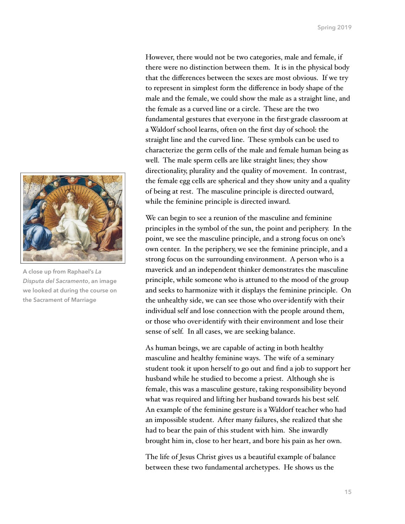

**A close up from Raphael's** *La Disputa del Sacramento***, an image we looked at during the course on the Sacrament of Marriage**

However, there would not be two categories, male and female, if there were no distinction between them. It is in the physical body that the differences between the sexes are most obvious. If we try to represent in simplest form the difference in body shape of the male and the female, we could show the male as a straight line, and the female as a curved line or a circle. These are the two fundamental gestures that everyone in the first-grade classroom at a Waldorf school learns, often on the first day of school: the straight line and the curved line. These symbols can be used to characterize the germ cells of the male and female human being as well. The male sperm cells are like straight lines; they show directionality, plurality and the quality of movement. In contrast, the female egg cells are spherical and they show unity and a quality of being at rest. The masculine principle is directed outward, while the feminine principle is directed inward.

We can begin to see a reunion of the masculine and feminine principles in the symbol of the sun, the point and periphery. In the point, we see the masculine principle, and a strong focus on one's own center. In the periphery, we see the feminine principle, and a strong focus on the surrounding environment. A person who is a maverick and an independent thinker demonstrates the masculine principle, while someone who is attuned to the mood of the group and seeks to harmonize with it displays the feminine principle. On the unhealthy side, we can see those who over-identify with their individual self and lose connection with the people around them, or those who over-identify with their environment and lose their sense of self. In all cases, we are seeking balance.

As human beings, we are capable of acting in both healthy masculine and healthy feminine ways. The wife of a seminary student took it upon herself to go out and find a job to support her husband while he studied to become a priest. Although she is female, this was a masculine gesture, taking responsibility beyond what was required and lifting her husband towards his best self. An example of the feminine gesture is a Waldorf teacher who had an impossible student. After many failures, she realized that she had to bear the pain of this student with him. She inwardly brought him in, close to her heart, and bore his pain as her own.

The life of Jesus Christ gives us a beautiful example of balance between these two fundamental archetypes. He shows us the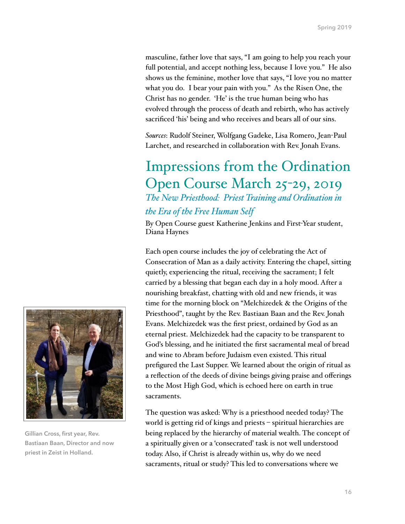masculine, father love that says, "I am going to help you reach your full potential, and accept nothing less, because I love you." He also shows us the feminine, mother love that says, "I love you no matter what you do. I bear your pain with you." As the Risen One, the Christ has no gender. 'He' is the true human being who has evolved through the process of death and rebirth, who has actively sacrificed 'his' being and who receives and bears all of our sins.

*Sources*: Rudolf Steiner, Wolfgang Gadeke, Lisa Romero, Jean-Paul Larchet, and researched in collaboration with Rev. Jonah Evans.

#### Impressions from the Ordination Open Course March 25-29, 2019 *The New Priesthood: Priest Training and Ordination in the Era of the Free Human Self*

By Open Course guest Katherine Jenkins and First-Year student, Diana Haynes

Each open course includes the joy of celebrating the Act of Consecration of Man as a daily activity. Entering the chapel, sitting quietly, experiencing the ritual, receiving the sacrament; I felt carried by a blessing that began each day in a holy mood. After a nourishing breakfast, chatting with old and new friends, it was time for the morning block on "Melchizedek & the Origins of the Priesthood", taught by the Rev. Bastiaan Baan and the Rev. Jonah Evans. Melchizedek was the first priest, ordained by God as an eternal priest. Melchizedek had the capacity to be transparent to God's blessing, and he initiated the first sacramental meal of bread and wine to Abram before Judaism even existed. This ritual prefigured the Last Supper. We learned about the origin of ritual as a reflection of the deeds of divine beings giving praise and offerings to the Most High God, which is echoed here on earth in true sacraments.

The question was asked: Why is a priesthood needed today? The world is getting rid of kings and priests – spiritual hierarchies are being replaced by the hierarchy of material wealth. The concept of a spiritually given or a 'consecrated' task is not well understood today. Also, if Christ is already within us, why do we need sacraments, ritual or study? This led to conversations where we



**Gillian Cross, first year, Rev. Bastiaan Baan, Director and now priest in Zeist in Holland.**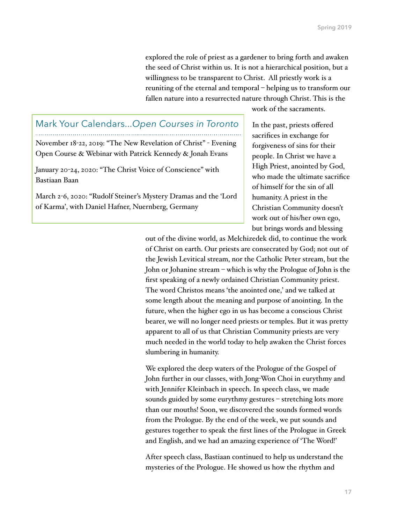explored the role of priest as a gardener to bring forth and awaken the seed of Christ within us. It is not a hierarchical position, but a willingness to be transparent to Christ. All priestly work is a reuniting of the eternal and temporal – helping us to transform our fallen nature into a resurrected nature through Christ. This is the

#### Mark Your Calendars...*Open Courses in Toronto*

November 18-22, 2019: "The New Revelation of Christ" - Evening Open Course & Webinar with Patrick Kennedy & Jonah Evans

January 20-24, 2020: "The Christ Voice of Conscience" with Bastiaan Baan

March 2-6, 2020: "Rudolf Steiner's Mystery Dramas and the 'Lord of Karma', with Daniel Hafner, Nuernberg, Germany

work of the sacraments.

In the past, priests offered sacrifices in exchange for forgiveness of sins for their people. In Christ we have a High Priest, anointed by God, who made the ultimate sacrifice of himself for the sin of all humanity. A priest in the Christian Community doesn't work out of his/her own ego, but brings words and blessing

out of the divine world, as Melchizedek did, to continue the work of Christ on earth. Our priests are consecrated by God; not out of the Jewish Levitical stream, nor the Catholic Peter stream, but the John or Johanine stream – which is why the Prologue of John is the first speaking of a newly ordained Christian Community priest. The word Christos means 'the anointed one,' and we talked at some length about the meaning and purpose of anointing. In the future, when the higher ego in us has become a conscious Christ bearer, we will no longer need priests or temples. But it was pretty apparent to all of us that Christian Community priests are very much needed in the world today to help awaken the Christ forces slumbering in humanity.

We explored the deep waters of the Prologue of the Gospel of John further in our classes, with Jong-Won Choi in eurythmy and with Jennifer Kleinbach in speech. In speech class, we made sounds guided by some eurythmy gestures – stretching lots more than our mouths! Soon, we discovered the sounds formed words from the Prologue. By the end of the week, we put sounds and gestures together to speak the first lines of the Prologue in Greek and English, and we had an amazing experience of 'The Word!'

After speech class, Bastiaan continued to help us understand the mysteries of the Prologue. He showed us how the rhythm and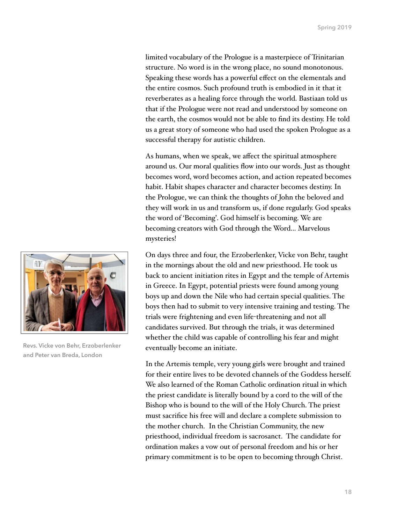limited vocabulary of the Prologue is a masterpiece of Trinitarian structure. No word is in the wrong place, no sound monotonous. Speaking these words has a powerful effect on the elementals and the entire cosmos. Such profound truth is embodied in it that it reverberates as a healing force through the world. Bastiaan told us that if the Prologue were not read and understood by someone on the earth, the cosmos would not be able to find its destiny. He told us a great story of someone who had used the spoken Prologue as a successful therapy for autistic children.

As humans, when we speak, we affect the spiritual atmosphere around us. Our moral qualities flow into our words. Just as thought becomes word, word becomes action, and action repeated becomes habit. Habit shapes character and character becomes destiny. In the Prologue, we can think the thoughts of John the beloved and they will work in us and transform us, if done regularly. God speaks the word of 'Becoming'. God himself is becoming. We are becoming creators with God through the Word... Marvelous mysteries!

On days three and four, the Erzoberlenker, Vicke von Behr, taught in the mornings about the old and new priesthood. He took us back to ancient initiation rites in Egypt and the temple of Artemis in Greece. In Egypt, potential priests were found among young boys up and down the Nile who had certain special qualities. The boys then had to submit to very intensive training and testing. The trials were frightening and even life-threatening and not all candidates survived. But through the trials, it was determined whether the child was capable of controlling his fear and might eventually become an initiate.

In the Artemis temple, very young girls were brought and trained for their entire lives to be devoted channels of the Goddess herself. We also learned of the Roman Catholic ordination ritual in which the priest candidate is literally bound by a cord to the will of the Bishop who is bound to the will of the Holy Church. The priest must sacrifice his free will and declare a complete submission to the mother church. In the Christian Community, the new priesthood, individual freedom is sacrosanct. The candidate for ordination makes a vow out of personal freedom and his or her primary commitment is to be open to becoming through Christ.



**Revs. Vicke von Behr, Erzoberlenker and Peter van Breda, London**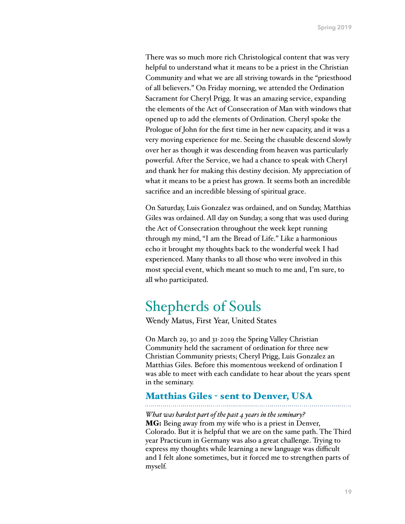There was so much more rich Christological content that was very helpful to understand what it means to be a priest in the Christian Community and what we are all striving towards in the "priesthood of all believers." On Friday morning, we attended the Ordination Sacrament for Cheryl Prigg. It was an amazing service, expanding the elements of the Act of Consecration of Man with windows that opened up to add the elements of Ordination. Cheryl spoke the Prologue of John for the first time in her new capacity, and it was a very moving experience for me. Seeing the chasuble descend slowly over her as though it was descending from heaven was particularly powerful. After the Service, we had a chance to speak with Cheryl and thank her for making this destiny decision. My appreciation of what it means to be a priest has grown. It seems both an incredible sacrifice and an incredible blessing of spiritual grace.

On Saturday, Luis Gonzalez was ordained, and on Sunday, Matthias Giles was ordained. All day on Sunday, a song that was used during the Act of Consecration throughout the week kept running through my mind, "I am the Bread of Life." Like a harmonious echo it brought my thoughts back to the wonderful week I had experienced. Many thanks to all those who were involved in this most special event, which meant so much to me and, I'm sure, to all who participated.

### Shepherds of Souls

Wendy Matus, First Year, United States

On March 29, 30 and 31, 2019 the Spring Valley Christian Community held the sacrament of ordination for three new Christian Community priests; Cheryl Prigg, Luis Gonzalez an Matthias Giles. Before this momentous weekend of ordination I was able to meet with each candidate to hear about the years spent in the seminary.

#### Matthias Giles - sent to Denver, USA

*What was hardest part of the past 4 years in the seminary?* MG: Being away from my wife who is a priest in Denver, Colorado. But it is helpful that we are on the same path. The Third year Practicum in Germany was also a great challenge. Trying to express my thoughts while learning a new language was difficult and I felt alone sometimes, but it forced me to strengthen parts of myself.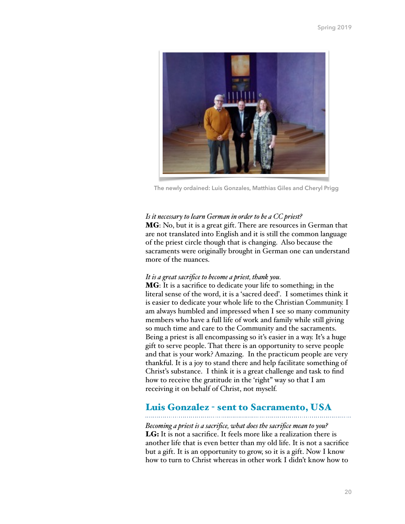

**The newly ordained: Luis Gonzales, Matthias Giles and Cheryl Prigg**

#### *Is it necessary to learn German in order to be a CC priest?*

MG: No, but it is a great gift. There are resources in German that are not translated into English and it is still the common language of the priest circle though that is changing. Also because the sacraments were originally brought in German one can understand more of the nuances.

#### *It is a great sacrifice to become a priest, thank you.*

MG: It is a sacrifice to dedicate your life to something; in the literal sense of the word, it is a 'sacred deed'. I sometimes think it is easier to dedicate your whole life to the Christian Community. I am always humbled and impressed when I see so many community members who have a full life of work and family while still giving so much time and care to the Community and the sacraments. Being a priest is all encompassing so it's easier in a way. It's a huge gift to serve people. That there is an opportunity to serve people and that is your work? Amazing. In the practicum people are very thankful. It is a joy to stand there and help facilitate something of Christ's substance. I think it is a great challenge and task to find how to receive the gratitude in the 'right" way so that I am receiving it on behalf of Christ, not myself.

#### Luis Gonzalez - sent to Sacramento, USA

*Becoming a priest is a sacrifice, what does the sacrifice mean to you?* LG: It is not a sacrifice. It feels more like a realization there is another life that is even better than my old life. It is not a sacrifice but a gift. It is an opportunity to grow, so it is a gift. Now I know how to turn to Christ whereas in other work I didn't know how to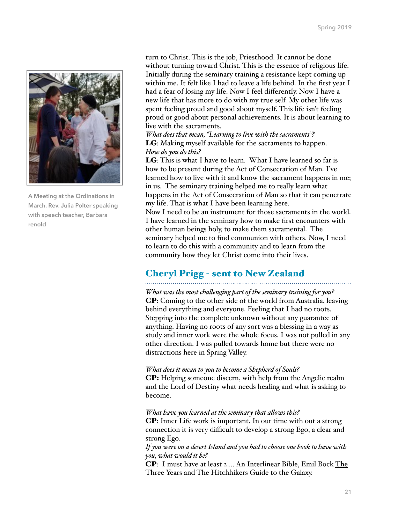

**A Meeting at the Ordinations in March. Rev. Julia Polter speaking with speech teacher, Barbara renold**

turn to Christ. This is the job, Priesthood. It cannot be done without turning toward Christ. This is the essence of religious life. Initially during the seminary training a resistance kept coming up within me. It felt like I had to leave a life behind. In the first year I had a fear of losing my life. Now I feel differently. Now I have a new life that has more to do with my true self. My other life was spent feeling proud and good about myself. This life isn't feeling proud or good about personal achievements. It is about learning to live with the sacraments.

*What does that mean, "Learning to live with the sacraments"?* **LG**: Making myself available for the sacraments to happen. *How do you do this?*

LG: This is what I have to learn. What I have learned so far is how to be present during the Act of Consecration of Man. I've learned how to live with it and know the sacrament happens in me; in us. The seminary training helped me to really learn what happens in the Act of Consecration of Man so that it can penetrate my life. That is what I have been learning here. Now I need to be an instrument for those sacraments in the world. I have learned in the seminary how to make first encounters with other human beings holy, to make them sacramental. The seminary helped me to find communion with others. Now, I need to learn to do this with a community and to learn from the community how they let Christ come into their lives.

#### Cheryl Prigg - sent to New Zealand

*What was the most chalenging part of the seminary training for you?*  CP: Coming to the other side of the world from Australia, leaving behind everything and everyone. Feeling that I had no roots. Stepping into the complete unknown without any guarantee of anything. Having no roots of any sort was a blessing in a way as study and inner work were the whole focus. I was not pulled in any other direction. I was pulled towards home but there were no distractions here in Spring Valley.

#### *What does it mean to you to become a Shepherd of Souls?*

CP: Helping someone discern, with help from the Angelic realm and the Lord of Destiny what needs healing and what is asking to become.

#### *What have you learned at the seminary that alows this?*

CP: Inner Life work is important. In our time with out a strong connection it is very difficult to develop a strong Ego, a clear and strong Ego.

*If you were on a desert Island and you had to choose one book to have with you, what would it be?*

CP: I must have at least 2…. An Interlinear Bible, Emil Bock The Three Years and The Hitchhikers Guide to the Galaxy.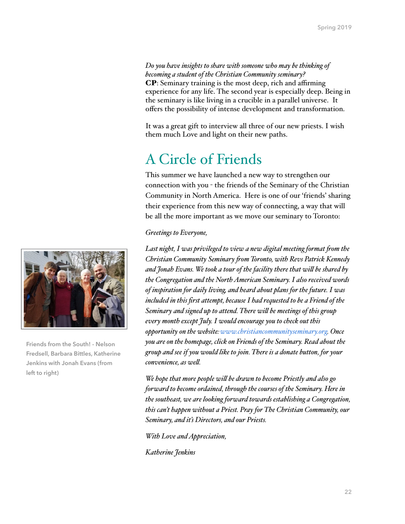*Do you have insights to share with someone who may be thinking of becoming a student of the Christian Community seminary?*  CP: Seminary training is the most deep, rich and affirming experience for any life. The second year is especially deep. Being in the seminary is like living in a crucible in a parallel universe. It offers the possibility of intense development and transformation.

It was a great gift to interview all three of our new priests. I wish them much Love and light on their new paths.

### A Circle of Friends

This summer we have launched a new way to strengthen our connection with you - the friends of the Seminary of the Christian Community in North America. Here is one of our 'friends' sharing their experience from this new way of connecting, a way that will be all the more important as we move our seminary to Toronto:

#### *Greetings to Everyone,*

Last night, I was privileged to view a new digital meeting format from the *Christian Community Seminary fom Toronto, with Revs Patrick Kennedy and Jonah Evans. We took a tour of the facility there that wil be shared by the Congregation and the North American Seminary. I also received words of inspiration for daily living, and heard about plans for the future. I was included in this first attempt, because I had requested to be a Friend of the Seminary and signed up to attend. There wil be meetings of this group every month except July. I would encourage you to check out this opportunity on the website:[www.christiancommunityseminary.org.](http://www.christiancommunityseminary.org/) Once you are on the homepage, click on Friends of the Seminary. Read about the group and see if you would like to join. There is a donate button, for your convenience, as wel.*

*We hope that more people wil be drawn to become Priestly and also go forward to become ordained, through the courses of the Seminary. Here in the southeast, we are looking forward towards establishing a Congregation, this can't happen without a Priest. Pray for The Christian Community, our Seminary, and it's Directors, and our Priests.*

*With Love and Appreciation,*

*Katherine Jenkins*



**Friends from the South! - Nelson Fredsell, Barbara Bittles, Katherine Jenkins with Jonah Evans (from left to right)**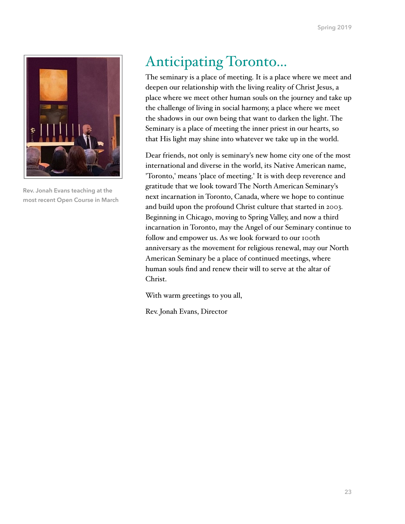

**Rev. Jonah Evans teaching at the most recent Open Course in March**

# Anticipating Toronto...

The seminary is a place of meeting. It is a place where we meet and deepen our relationship with the living reality of Christ Jesus, a place where we meet other human souls on the journey and take up the challenge of living in social harmony, a place where we meet the shadows in our own being that want to darken the light. The Seminary is a place of meeting the inner priest in our hearts, so that His light may shine into whatever we take up in the world.

Dear friends, not only is seminary's new home city one of the most international and diverse in the world, its Native American name, 'Toronto,' means 'place of meeting.' It is with deep reverence and gratitude that we look toward The North American Seminary's next incarnation in Toronto, Canada, where we hope to continue and build upon the profound Christ culture that started in 2003. Beginning in Chicago, moving to Spring Valley, and now a third incarnation in Toronto, may the Angel of our Seminary continue to follow and empower us. As we look forward to our 100th anniversary as the movement for religious renewal, may our North American Seminary be a place of continued meetings, where human souls find and renew their will to serve at the altar of Christ.

With warm greetings to you all,

Rev. Jonah Evans, Director